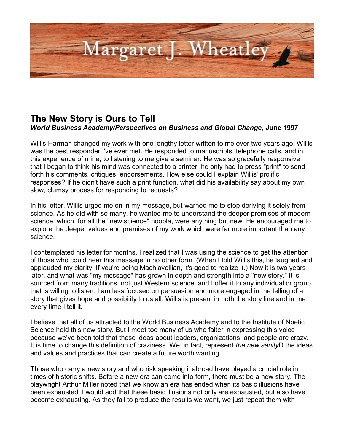

## **The New Story is Ours to Tell**

*World Business Academy/Perspectives on Business and Global Change***, June 1997** 

Willis Harman changed my work with one lengthy letter written to me over two years ago. Willis was the best responder I've ever met. He responded to manuscripts, telephone calls, and in this experience of mine, to listening to me give a seminar. He was so gracefully responsive that I began to think his mind was connected to a printer; he only had to press "print" to send forth his comments, critiques, endorsements. How else could I explain Willis' prolific responses? If he didn't have such a print function, what did his availability say about my own slow, clumsy process for responding to requests?

In his letter, Willis urged me on in my message, but warned me to stop deriving it solely from science. As he did with so many, he wanted me to understand the deeper premises of modern science, which, for all the "new science" hoopla, were anything but new. He encouraged me to explore the deeper values and premises of my work which were far more important than any science.

I contemplated his letter for months. I realized that I was using the science to get the attention of those who could hear this message in no other form. (When I told Willis this, he laughed and applauded my clarity. If you're being Machiavellian, it's good to realize it.) Now it is two years later, and what was "my message" has grown in depth and strength into a "new story." It is sourced from many traditions, not just Western science, and I offer it to any individual or group that is willing to listen. I am less focused on persuasion and more engaged in the telling of a story that gives hope and possibility to us all. Willis is present in both the story line and in me every time I tell it.

I believe that all of us attracted to the World Business Academy and to the Institute of Noetic Science hold this new story. But I meet too many of us who falter in expressing this voice because we've been told that these ideas about leaders, organizations, and people are crazy. It is time to change this definition of craziness. We, in fact, represent *the new sanity*Ð the ideas and values and practices that can create a future worth wanting.

Those who carry a new story and who risk speaking it abroad have played a crucial role in times of historic shifts. Before a new era can come into form, there must be a new story. The playwright Arthur Miller noted that we know an era has ended when its basic illusions have been exhausted. I would add that these basic illusions not only are exhausted, but also have become exhausting. As they fail to produce the results we want, we just repeat them with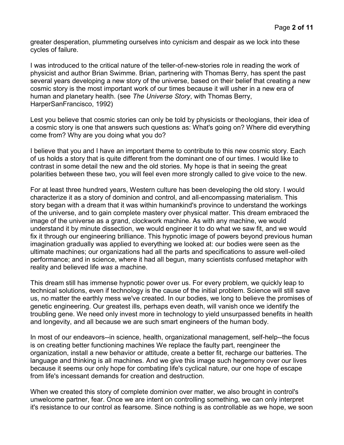greater desperation, plummeting ourselves into cynicism and despair as we lock into these cycles of failure.

I was introduced to the critical nature of the teller-of-new-stories role in reading the work of physicist and author Brian Swimme. Brian, partnering with Thomas Berry, has spent the past several years developing a new story of the universe, based on their belief that creating a new cosmic story is the most important work of our times because it will usher in a new era of human and planetary health. (see *The Universe Story*, with Thomas Berry, HarperSanFrancisco, 1992)

Lest you believe that cosmic stories can only be told by physicists or theologians, their idea of a cosmic story is one that answers such questions as: What's going on? Where did everything come from? Why are you doing what you do?

I believe that you and I have an important theme to contribute to this new cosmic story. Each of us holds a story that is quite different from the dominant one of our times. I would like to contrast in some detail the new and the old stories. My hope is that in seeing the great polarities between these two, you will feel even more strongly called to give voice to the new.

For at least three hundred years, Western culture has been developing the old story. I would characterize it as a story of dominion and control, and all-encompassing materialism. This story began with a dream that it was within humankind's province to understand the workings of the universe, and to gain complete mastery over physical matter. This dream embraced the image of the universe as a grand, clockwork machine. As with any machine, we would understand it by minute dissection, we would engineer it to do what we saw fit, and we would fix it through our engineering brilliance. This hypnotic image of powers beyond previous human imagination gradually was applied to everything we looked at: our bodies were seen as the ultimate machines; our organizations had all the parts and specifications to assure well-oiled performance; and in science, where it had all begun, many scientists confused metaphor with reality and believed life *was* a machine.

This dream still has immense hypnotic power over us. For every problem, we quickly leap to technical solutions, even if technology is the cause of the initial problem. Science will still save us, no matter the earthly mess we've created. In our bodies, we long to believe the promises of genetic engineering. Our greatest ills, perhaps even death, will vanish once we identify the troubling gene. We need only invest more in technology to yield unsurpassed benefits in health and longevity, and all because we are such smart engineers of the human body.

In most of our endeavors--in science, health, organizational management, self-help--the focus is on creating better functioning machines We replace the faulty part, reengineer the organization, install a new behavior or attitude, create a better fit, recharge our batteries. The language and thinking is all machines. And we give this image such hegemony over our lives because it seems our only hope for combating life's cyclical nature, our one hope of escape from life's incessant demands for creation and destruction.

When we created this story of complete dominion over matter, we also brought in control's unwelcome partner, fear. Once we are intent on controlling something, we can only interpret it's resistance to our control as fearsome. Since nothing is as controllable as we hope, we soon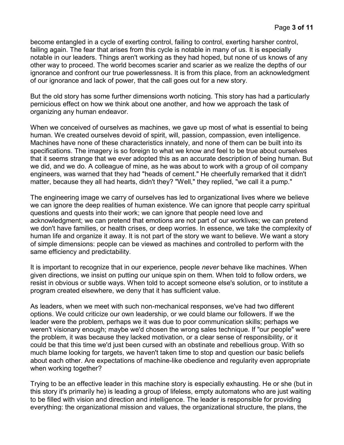become entangled in a cycle of exerting control, failing to control, exerting harsher control, failing again. The fear that arises from this cycle is notable in many of us. It is especially notable in our leaders. Things aren't working as they had hoped, but none of us knows of any other way to proceed. The world becomes scarier and scarier as we realize the depths of our ignorance and confront our true powerlessness. It is from this place, from an acknowledgment of our ignorance and lack of power, that the call goes out for a new story.

But the old story has some further dimensions worth noticing. This story has had a particularly pernicious effect on how we think about one another, and how we approach the task of organizing any human endeavor.

When we conceived of ourselves as machines, we gave up most of what is essential to being human. We created ourselves devoid of spirit, will, passion, compassion, even intelligence. Machines have none of these characteristics innately, and none of them can be built into its specifications. The imagery is so foreign to what we know and feel to be true about ourselves that it seems strange that we ever adopted this as an accurate description of being human. But we did, and we do. A colleague of mine, as he was about to work with a group of oil company engineers, was warned that they had "heads of cement." He cheerfully remarked that it didn't matter, because they all had hearts, didn't they? "Well," they replied, "we call it a pump."

The engineering image we carry of ourselves has led to organizational lives where we believe we can ignore the deep realities of human existence. We can ignore that people carry spiritual questions and quests into their work; we can ignore that people need love and acknowledgment; we can pretend that emotions are not part of our worklives; we can pretend we don't have families, or health crises, or deep worries. In essence, we take the complexity of human life and organize it away. It is not part of the story we want to believe. We want a story of simple dimensions: people can be viewed as machines and controlled to perform with the same efficiency and predictability.

It is important to recognize that in our experience, people *never* behave like machines. When given directions, we insist on putting our unique spin on them. When told to follow orders, we resist in obvious or subtle ways. When told to accept someone else's solution, or to institute a program created elsewhere, we deny that it has sufficient value.

As leaders, when we meet with such non-mechanical responses, we've had two different options. We could criticize our own leadership, or we could blame our followers. If we the leader were the problem, perhaps we it was due to poor communication skills; perhaps we weren't visionary enough; maybe we'd chosen the wrong sales technique. If "our people" were the problem, it was because they lacked motivation, or a clear sense of responsibility, or it could be that this time we'd just been cursed with an obstinate and rebellious group. With so much blame looking for targets, we haven't taken time to stop and question our basic beliefs about each other. Are expectations of machine-like obedience and regularity even appropriate when working together?

Trying to be an effective leader in this machine story is especially exhausting. He or she (but in this story it's primarily he) is leading a group of lifeless, empty automatons who are just waiting to be filled with vision and direction and intelligence. The leader is responsible for providing everything: the organizational mission and values, the organizational structure, the plans, the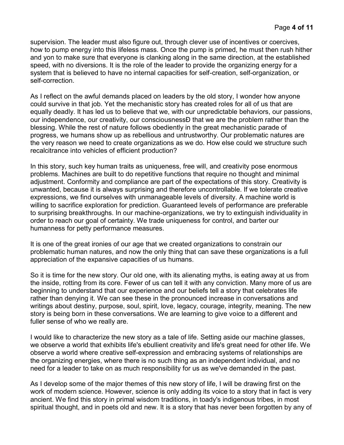supervision. The leader must also figure out, through clever use of incentives or coercives, how to pump energy into this lifeless mass. Once the pump is primed, he must then rush hither and yon to make sure that everyone is clanking along in the same direction, at the established speed, with no diversions. It is the role of the leader to provide the organizing energy for a system that is believed to have no internal capacities for self-creation, self-organization, or self-correction.

As I reflect on the awful demands placed on leaders by the old story, I wonder how anyone could survive in that job. Yet the mechanistic story has created roles for all of us that are equally deadly. It has led us to believe that we, with our unpredictable behaviors, our passions, our independence, our creativity, our consciousnessÐ that we are the problem rather than the blessing. While the rest of nature follows obediently in the great mechanistic parade of progress, we humans show up as rebellious and untrustworthy. Our problematic natures are the very reason we need to create organizations as we do. How else could we structure such recalcitrance into vehicles of efficient production?

In this story, such key human traits as uniqueness, free will, and creativity pose enormous problems. Machines are built to do repetitive functions that require no thought and minimal adjustment. Conformity and compliance are part of the expectations of this story. Creativity is unwanted, because it is always surprising and therefore uncontrollable. If we tolerate creative expressions, we find ourselves with unmanageable levels of diversity. A machine world is willing to sacrifice exploration for prediction. Guaranteed levels of performance are preferable to surprising breakthroughs. In our machine-organizations, we try to extinguish individuality in order to reach our goal of certainty. We trade uniqueness for control, and barter our humanness for petty performance measures.

It is one of the great ironies of our age that we created organizations to constrain our problematic human natures, and now the only thing that can save these organizations is a full appreciation of the expansive capacities of us humans.

So it is time for the new story. Our old one, with its alienating myths, is eating away at us from the inside, rotting from its core. Fewer of us can tell it with any conviction. Many more of us are beginning to understand that our experience and our beliefs tell a story that celebrates life rather than denying it. We can see these in the pronounced increase in conversations and writings about destiny, purpose, soul, spirit, love, legacy, courage, integrity, meaning. The new story is being born in these conversations. We are learning to give voice to a different and fuller sense of who we really are.

I would like to characterize the new story as a tale of life. Setting aside our machine glasses, we observe a world that exhibits life's ebullient creativity and life's great need for other life. We observe a world where creative self-expression and embracing systems of relationships are the organizing energies, where there is no such thing as an independent individual, and no need for a leader to take on as much responsibility for us as we've demanded in the past.

As I develop some of the major themes of this new story of life, I will be drawing first on the work of modern science. However, science is only adding its voice to a story that in fact is very ancient. We find this story in primal wisdom traditions, in toady's indigenous tribes, in most spiritual thought, and in poets old and new. It is a story that has never been forgotten by any of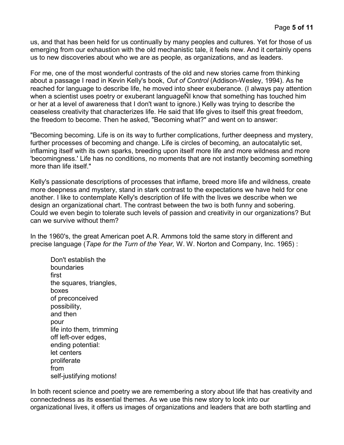us, and that has been held for us continually by many peoples and cultures. Yet for those of us emerging from our exhaustion with the old mechanistic tale, it feels new. And it certainly opens us to new discoveries about who we are as people, as organizations, and as leaders.

For me, one of the most wonderful contrasts of the old and new stories came from thinking about a passage I read in Kevin Kelly's book, *Out of Control* (Addison-Wesley, 1994). As he reached for language to describe life, he moved into sheer exuberance. (I always pay attention when a scientist uses poetry or exuberant languageÑI know that something has touched him or her at a level of awareness that I don't want to ignore.) Kelly was trying to describe the ceaseless creativity that characterizes life. He said that life gives to itself this great freedom, the freedom to become. Then he asked, "Becoming what?" and went on to answer:

"Becoming becoming. Life is on its way to further complications, further deepness and mystery, further processes of becoming and change. Life is circles of becoming, an autocatalytic set, inflaming itself with its own sparks, breeding upon itself more life and more wildness and more 'becomingness.' Life has no conditions, no moments that are not instantly becoming something more than life itself."

Kelly's passionate descriptions of processes that inflame, breed more life and wildness, create more deepness and mystery, stand in stark contrast to the expectations we have held for one another. I like to contemplate Kelly's description of life with the lives we describe when we design an organizational chart. The contrast between the two is both funny and sobering. Could we even begin to tolerate such levels of passion and creativity in our organizations? But can we survive without them?

In the 1960's, the great American poet A.R. Ammons told the same story in different and precise language (*Tape for the Turn of the Year,* W. W. Norton and Company, Inc. 1965) :

Don't establish the boundaries first the squares, triangles, boxes of preconceived possibility, and then pour life into them, trimming off left-over edges, ending potential: let centers proliferate from self-justifying motions!

In both recent science and poetry we are remembering a story about life that has creativity and connectedness as its essential themes. As we use this new story to look into our organizational lives, it offers us images of organizations and leaders that are both startling and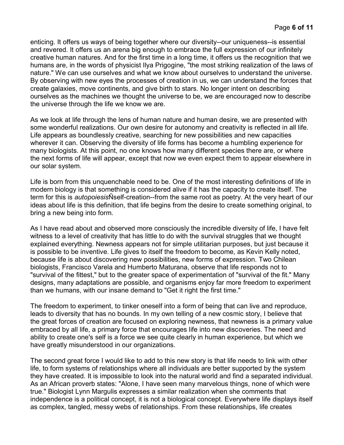enticing. It offers us ways of being together where our diversity--our uniqueness--is essential and revered. It offers us an arena big enough to embrace the full expression of our infinitely creative human natures. And for the first time in a long time, it offers us the recognition that we humans are, in the words of physicist Ilya Prigogine, "the most striking realization of the laws of nature." We can use ourselves and what we know about ourselves to understand the universe. By observing with new eyes the processes of creation in us, we can understand the forces that create galaxies, move continents, and give birth to stars. No longer intent on describing ourselves as the machines we thought the universe to be, we are encouraged now to describe the universe through the life we know we are.

As we look at life through the lens of human nature and human desire, we are presented with some wonderful realizations. Our own desire for autonomy and creativity is reflected in all life. Life appears as boundlessly creative, searching for new possibilities and new capacities wherever it can. Observing the diversity of life forms has become a humbling experience for many biologists. At this point, no one knows how many different species there are, or where the next forms of life will appear, except that now we even expect them to appear elsewhere in our solar system.

Life is born from this unquenchable need to be. One of the most interesting definitions of life in modern biology is that something is considered alive if it has the capacity to create itself. The term for this is *autopoiesis*Ñself-creation--from the same root as poetry. At the very heart of our ideas about life is this definition, that life begins from the desire to create something original, to bring a new being into form.

As I have read about and observed more consciously the incredible diversity of life, I have felt witness to a level of creativity that has little to do with the survival struggles that we thought explained everything. Newness appears not for simple utilitarian purposes, but just because it is possible to be inventive. Life gives to itself the freedom to become, as Kevin Kelly noted, because life is about discovering new possibilities, new forms of expression. Two Chilean biologists, Francisco Varela and Humberto Maturana, observe that life responds not to "survival of the fittest," but to the greater space of experimentation of "survival of the fit." Many designs, many adaptations are possible, and organisms enjoy far more freedom to experiment than we humans, with our insane demand to "Get it right the first time."

The freedom to experiment, to tinker oneself into a form of being that can live and reproduce, leads to diversity that has no bounds. In my own telling of a new cosmic story, I believe that the great forces of creation are focused on exploring newness, that newness is a primary value embraced by all life, a primary force that encourages life into new discoveries. The need and ability to create one's self is a force we see quite clearly in human experience, but which we have greatly misunderstood in our organizations.

The second great force I would like to add to this new story is that life needs to link with other life, to form systems of relationships where all individuals are better supported by the system they have created. It is impossible to look into the natural world and find a separated individual. As an African proverb states: "Alone, I have seen many marvelous things, none of which were true." Biologist Lynn Margulis expresses a similar realization when she comments that independence is a political concept, it is not a biological concept. Everywhere life displays itself as complex, tangled, messy webs of relationships. From these relationships, life creates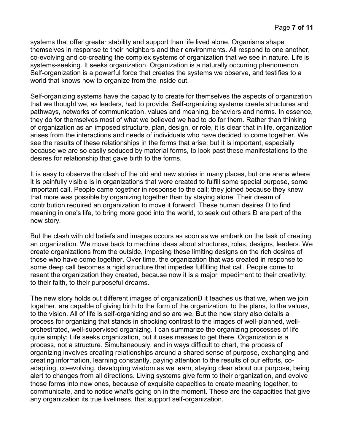systems that offer greater stability and support than life lived alone. Organisms shape themselves in response to their neighbors and their environments. All respond to one another, co-evolving and co-creating the complex systems of organization that we see in nature. Life is systems-seeking. It seeks organization. Organization is a naturally occurring phenomenon. Self-organization is a powerful force that creates the systems we observe, and testifies to a world that knows how to organize from the inside out.

Self-organizing systems have the capacity to create for themselves the aspects of organization that we thought we, as leaders, had to provide. Self-organizing systems create structures and pathways, networks of communication, values and meaning, behaviors and norms. In essence, they do for themselves most of what we believed we had to do for them. Rather than thinking of organization as an imposed structure, plan, design, or role, it is clear that in life, organization arises from the interactions and needs of individuals who have decided to come together. We see the results of these relationships in the forms that arise; but it is important, especially because we are so easily seduced by material forms, to look past these manifestations to the desires for relationship that gave birth to the forms.

It is easy to observe the clash of the old and new stories in many places, but one arena where it is painfully visible is in organizations that were created to fulfill some special purpose, some important call. People came together in response to the call; they joined because they knew that more was possible by organizing together than by staying alone. Their dream of contribution required an organization to move it forward. These human desires Ð to find meaning in one's life, to bring more good into the world, to seek out others Ð are part of the new story.

But the clash with old beliefs and images occurs as soon as we embark on the task of creating an organization. We move back to machine ideas about structures, roles, designs, leaders. We create organizations from the outside, imposing these limiting designs on the rich desires of those who have come together. Over time, the organization that was created in response to some deep call becomes a rigid structure that impedes fulfilling that call. People come to resent the organization they created, because now it is a major impediment to their creativity, to their faith, to their purposeful dreams.

The new story holds out different images of organizationD it teaches us that we, when we join together, are capable of giving birth to the form of the organization, to the plans, to the values, to the vision. All of life is self-organizing and so are we. But the new story also details a process for organizing that stands in shocking contrast to the images of well-planned, wellorchestrated, well-supervised organizing. I can summarize the organizing processes of life quite simply: Life seeks organization, but it uses messes to get there. Organization is a process, not a structure. Simultaneously, and in ways difficult to chart, the process of organizing involves creating relationships around a shared sense of purpose, exchanging and creating information, learning constantly, paying attention to the results of our efforts, coadapting, co-evolving, developing wisdom as we learn, staying clear about our purpose, being alert to changes from all directions. Living systems give form to their organization, and evolve those forms into new ones, because of exquisite capacities to create meaning together, to communicate, and to notice what's going on in the moment. These are the capacities that give any organization its true liveliness, that support self-organization.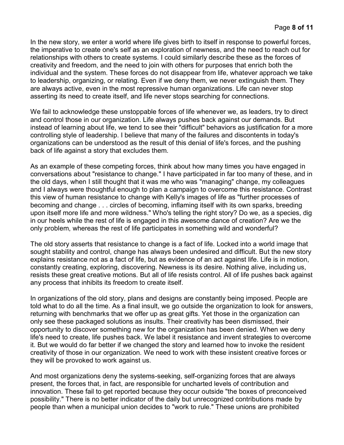In the new story, we enter a world where life gives birth to itself in response to powerful forces, the imperative to create one's self as an exploration of newness, and the need to reach out for relationships with others to create systems. I could similarly describe these as the forces of creativity and freedom, and the need to join with others for purposes that enrich both the individual and the system. These forces do not disappear from life, whatever approach we take to leadership, organizing, or relating. Even if we deny them, we never extinguish them. They are always active, even in the most repressive human organizations. Life can never stop asserting its need to create itself, and life never stops searching for connections.

We fail to acknowledge these unstoppable forces of life whenever we, as leaders, try to direct and control those in our organization. Life always pushes back against our demands. But instead of learning about life, we tend to see their "difficult" behaviors as justification for a more controlling style of leadership. I believe that many of the failures and discontents in today's organizations can be understood as the result of this denial of life's forces, and the pushing back of life against a story that excludes them.

As an example of these competing forces, think about how many times you have engaged in conversations about "resistance to change." I have participated in far too many of these, and in the old days, when I still thought that it was me who was "managing" change, my colleagues and I always were thoughtful enough to plan a campaign to overcome this resistance. Contrast this view of human resistance to change with Kelly's images of life as "further processes of becoming and change . . . circles of becoming, inflaming itself with its own sparks, breeding upon itself more life and more wildness." Who's telling the right story? Do we, as a species, dig in our heels while the rest of life is engaged in this awesome dance of creation? Are we the only problem, whereas the rest of life participates in something wild and wonderful?

The old story asserts that resistance to change is a fact of life. Locked into a world image that sought stability and control, change has always been undesired and difficult. But the new story explains resistance not as a fact of life, but as evidence of an act against life. Life is in motion, constantly creating, exploring, discovering. Newness is its desire. Nothing alive, including us, resists these great creative motions. But all of life resists control. All of life pushes back against any process that inhibits its freedom to create itself.

In organizations of the old story, plans and designs are constantly being imposed. People are told what to do all the time. As a final insult, we go outside the organization to look for answers, returning with benchmarks that we offer up as great gifts. Yet those in the organization can only see these packaged solutions as insults. Their creativity has been dismissed, their opportunity to discover something new for the organization has been denied. When we deny life's need to create, life pushes back. We label it resistance and invent strategies to overcome it. But we would do far better if we changed the story and learned how to invoke the resident creativity of those in our organization. We need to work with these insistent creative forces or they will be provoked to work against us.

And most organizations deny the systems-seeking, self-organizing forces that are always present, the forces that, in fact, are responsible for uncharted levels of contribution and innovation. These fail to get reported because they occur outside "the boxes of preconceived possibility." There is no better indicator of the daily but unrecognized contributions made by people than when a municipal union decides to "work to rule." These unions are prohibited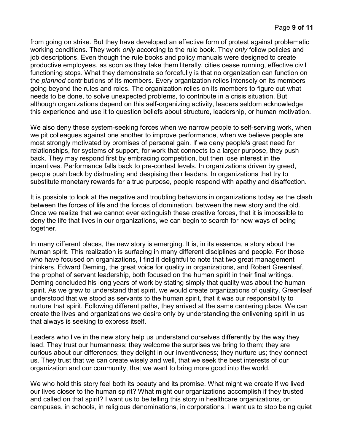from going on strike. But they have developed an effective form of protest against problematic working conditions. They work *only* according to the rule book. They *only* follow policies and job descriptions. Even though the rule books and policy manuals were designed to create productive employees, as soon as they take them literally, cities cease running, effective civil functioning stops. What they demonstrate so forcefully is that no organization can function on the *planned* contributions of its members. Every organization relies intensely on its members going beyond the rules and roles. The organization relies on its members to figure out what needs to be done, to solve unexpected problems, to contribute in a crisis situation. But although organizations depend on this self-organizing activity, leaders seldom acknowledge this experience and use it to question beliefs about structure, leadership, or human motivation.

We also deny these system-seeking forces when we narrow people to self-serving work, when we pit colleagues against one another to improve performance, when we believe people are most strongly motivated by promises of personal gain. If we deny people's great need for relationships, for systems of support, for work that connects to a larger purpose, they push back. They may respond first by embracing competition, but then lose interest in the incentives. Performance falls back to pre-contest levels. In organizations driven by greed, people push back by distrusting and despising their leaders. In organizations that try to substitute monetary rewards for a true purpose, people respond with apathy and disaffection.

It is possible to look at the negative and troubling behaviors in organizations today as the clash between the forces of life and the forces of domination, between the new story and the old. Once we realize that we cannot ever extinguish these creative forces, that it is impossible to deny the life that lives in our organizations, we can begin to search for new ways of being together.

In many different places, the new story is emerging. It is, in its essence, a story about the human spirit. This realization is surfacing in many different disciplines and people. For those who have focused on organizations, I find it delightful to note that two great management thinkers, Edward Deming, the great voice for quality in organizations, and Robert Greenleaf, the prophet of servant leadership, both focused on the human spirit in their final writings. Deming concluded his long years of work by stating simply that quality was about the human spirit. As we grew to understand that spirit, we would create organizations of quality. Greenleaf understood that we stood as servants to the human spirit, that it was our responsibility to nurture that spirit. Following different paths, they arrived at the same centering place. We can create the lives and organizations we desire only by understanding the enlivening spirit in us that always is seeking to express itself.

Leaders who live in the new story help us understand ourselves differently by the way they lead. They trust our humanness; they welcome the surprises we bring to them; they are curious about our differences; they delight in our inventiveness; they nurture us; they connect us. They trust that we can create wisely and well, that we seek the best interests of our organization and our community, that we want to bring more good into the world.

We who hold this story feel both its beauty and its promise. What might we create if we lived our lives closer to the human spirit? What might our organizations accomplish if they trusted and called on that spirit? I want us to be telling this story in healthcare organizations, on campuses, in schools, in religious denominations, in corporations. I want us to stop being quiet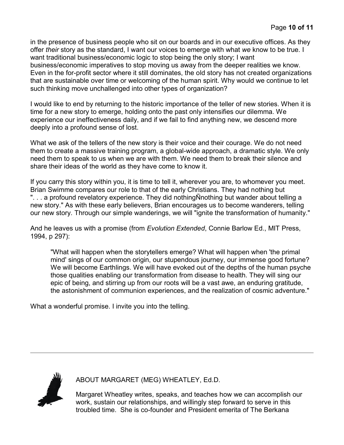in the presence of business people who sit on our boards and in our executive offices. As they offer *their* story as the standard, I want our voices to emerge with what *we* know to be true. I want traditional business/economic logic to stop being the only story; I want business/economic imperatives to stop moving us away from the deeper realities we know. Even in the for-profit sector where it still dominates, the old story has not created organizations that are sustainable over time or welcoming of the human spirit. Why would we continue to let such thinking move unchallenged into other types of organization?

I would like to end by returning to the historic importance of the teller of new stories. When it is time for a new story to emerge, holding onto the past only intensifies our dilemma. We experience our ineffectiveness daily, and if we fail to find anything new, we descend more deeply into a profound sense of lost.

What we ask of the tellers of the new story is their voice and their courage. We do not need them to create a massive training program, a global-wide approach, a dramatic style. We only need them to speak to us when we are with them. We need them to break their silence and share their ideas of the world as they have come to know it.

If you carry this story within you, it is time to tell it, wherever you are, to whomever you meet. Brian Swimme compares our role to that of the early Christians. They had nothing but ". . . a profound revelatory experience. They did nothingÑnothing but wander about telling a new story." As with these early believers, Brian encourages us to become wanderers, telling our new story. Through our simple wanderings, we will "ignite the transformation of humanity."

And he leaves us with a promise (from *Evolution Extended*, Connie Barlow Ed., MIT Press, 1994, p 297):

"What will happen when the storytellers emerge? What will happen when 'the primal mind' sings of our common origin, our stupendous journey, our immense good fortune? We will become Earthlings. We will have evoked out of the depths of the human psyche those qualities enabling our transformation from disease to health. They will sing our epic of being, and stirring up from our roots will be a vast awe, an enduring gratitude, the astonishment of communion experiences, and the realization of cosmic adventure."

What a wonderful promise. I invite you into the telling.



ABOUT MARGARET (MEG) WHEATLEY, Ed.D.

Margaret Wheatley writes, speaks, and teaches how we can accomplish our work, sustain our relationships, and willingly step forward to serve in this troubled time. She is co-founder and President emerita of The Berkana